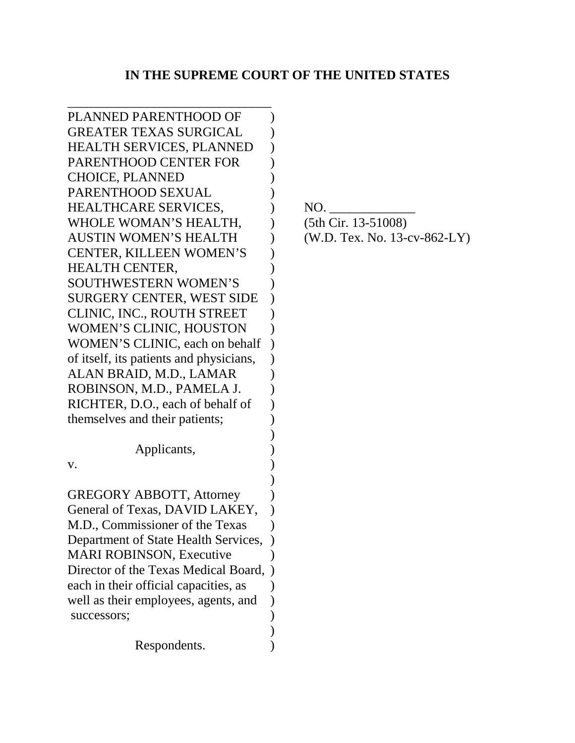# **IN THE SUPREME COURT OF THE UNITED STATES**

| PLANNED PARENTHOOD OF                   |                      |
|-----------------------------------------|----------------------|
| <b>GREATER TEXAS SURGICAL</b>           |                      |
| <b>HEALTH SERVICES, PLANNED</b>         |                      |
| PARENTHOOD CENTER FOR                   |                      |
| <b>CHOICE, PLANNED</b>                  |                      |
| PARENTHOOD SEXUAL                       |                      |
| <b>HEALTHCARE SERVICES,</b>             | NO.                  |
| WHOLE WOMAN'S HEALTH,                   | (5th Cir. 13-51008)  |
| <b>AUSTIN WOMEN'S HEALTH</b>            | (W.D. Tex. No. 13-c) |
| <b>CENTER, KILLEEN WOMEN'S</b>          |                      |
| <b>HEALTH CENTER,</b>                   |                      |
| <b>SOUTHWESTERN WOMEN'S</b>             |                      |
| SURGERY CENTER, WEST SIDE               |                      |
| CLINIC, INC., ROUTH STREET              |                      |
| <b>WOMEN'S CLINIC, HOUSTON</b>          |                      |
| WOMEN'S CLINIC, each on behalf          |                      |
| of itself, its patients and physicians, |                      |
| ALAN BRAID, M.D., LAMAR                 |                      |
| ROBINSON, M.D., PAMELA J.               |                      |
| RICHTER, D.O., each of behalf of        |                      |
| themselves and their patients;          |                      |
|                                         |                      |
| Applicants,                             |                      |
| V.                                      |                      |
|                                         |                      |
| <b>GREGORY ABBOTT, Attorney</b>         |                      |
| General of Texas, DAVID LAKEY,          |                      |
| M.D., Commissioner of the Texas         |                      |
| Department of State Health Services,    |                      |
| <b>MARI ROBINSON, Executive</b>         |                      |
| Director of the Texas Medical Board,    |                      |
| each in their official capacities, as   |                      |
| well as their employees, agents, and    |                      |
| successors;                             |                      |
|                                         |                      |
| Respondents.                            |                      |
|                                         |                      |

 $(W.D.$  Tex. No. 13-cv-862-LY)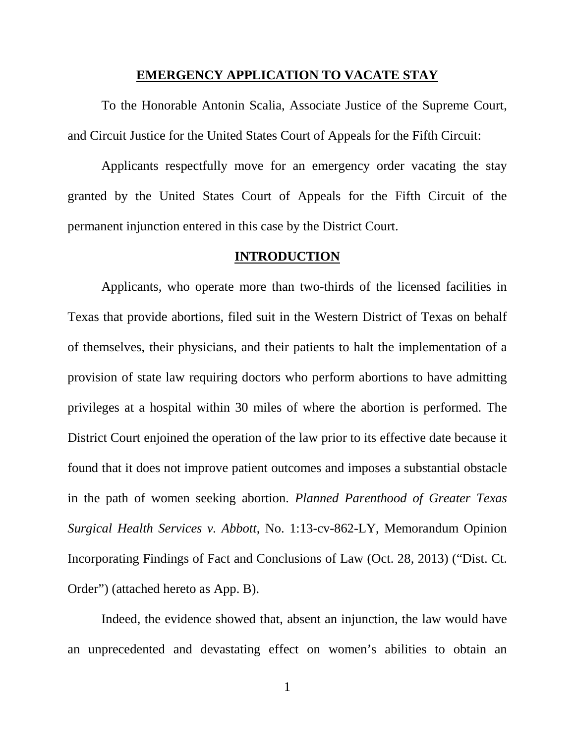### **EMERGENCY APPLICATION TO VACATE STAY**

To the Honorable Antonin Scalia, Associate Justice of the Supreme Court, and Circuit Justice for the United States Court of Appeals for the Fifth Circuit:

Applicants respectfully move for an emergency order vacating the stay granted by the United States Court of Appeals for the Fifth Circuit of the permanent injunction entered in this case by the District Court.

### **INTRODUCTION**

Applicants, who operate more than two-thirds of the licensed facilities in Texas that provide abortions, filed suit in the Western District of Texas on behalf of themselves, their physicians, and their patients to halt the implementation of a provision of state law requiring doctors who perform abortions to have admitting privileges at a hospital within 30 miles of where the abortion is performed. The District Court enjoined the operation of the law prior to its effective date because it found that it does not improve patient outcomes and imposes a substantial obstacle in the path of women seeking abortion. *Planned Parenthood of Greater Texas Surgical Health Services v. Abbott*, No. 1:13-cv-862-LY, Memorandum Opinion Incorporating Findings of Fact and Conclusions of Law (Oct. 28, 2013) ("Dist. Ct. Order") (attached hereto as App. B).

Indeed, the evidence showed that, absent an injunction, the law would have an unprecedented and devastating effect on women's abilities to obtain an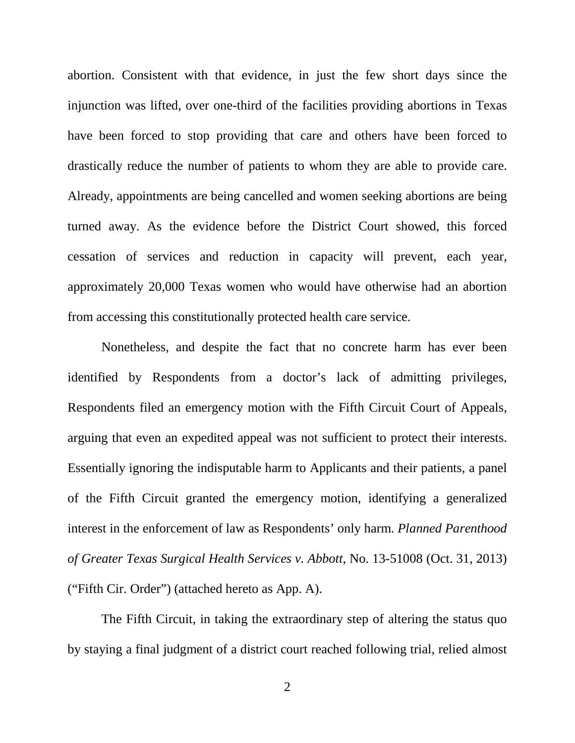abortion. Consistent with that evidence, in just the few short days since the injunction was lifted, over one-third of the facilities providing abortions in Texas have been forced to stop providing that care and others have been forced to drastically reduce the number of patients to whom they are able to provide care. Already, appointments are being cancelled and women seeking abortions are being turned away. As the evidence before the District Court showed, this forced cessation of services and reduction in capacity will prevent, each year, approximately 20,000 Texas women who would have otherwise had an abortion from accessing this constitutionally protected health care service.

Nonetheless, and despite the fact that no concrete harm has ever been identified by Respondents from a doctor's lack of admitting privileges, Respondents filed an emergency motion with the Fifth Circuit Court of Appeals, arguing that even an expedited appeal was not sufficient to protect their interests. Essentially ignoring the indisputable harm to Applicants and their patients, a panel of the Fifth Circuit granted the emergency motion, identifying a generalized interest in the enforcement of law as Respondents' only harm. *Planned Parenthood of Greater Texas Surgical Health Services v. Abbott*, No. 13-51008 (Oct. 31, 2013) ("Fifth Cir. Order") (attached hereto as App. A).

The Fifth Circuit, in taking the extraordinary step of altering the status quo by staying a final judgment of a district court reached following trial, relied almost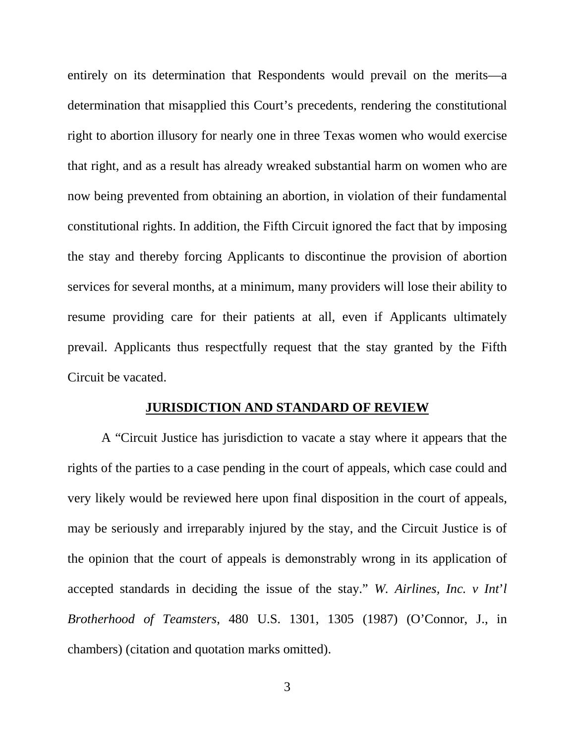entirely on its determination that Respondents would prevail on the merits—a determination that misapplied this Court's precedents, rendering the constitutional right to abortion illusory for nearly one in three Texas women who would exercise that right, and as a result has already wreaked substantial harm on women who are now being prevented from obtaining an abortion, in violation of their fundamental constitutional rights. In addition, the Fifth Circuit ignored the fact that by imposing the stay and thereby forcing Applicants to discontinue the provision of abortion services for several months, at a minimum, many providers will lose their ability to resume providing care for their patients at all, even if Applicants ultimately prevail. Applicants thus respectfully request that the stay granted by the Fifth Circuit be vacated.

### **JURISDICTION AND STANDARD OF REVIEW**

A "Circuit Justice has jurisdiction to vacate a stay where it appears that the rights of the parties to a case pending in the court of appeals, which case could and very likely would be reviewed here upon final disposition in the court of appeals, may be seriously and irreparably injured by the stay, and the Circuit Justice is of the opinion that the court of appeals is demonstrably wrong in its application of accepted standards in deciding the issue of the stay." *W. Airlines, Inc. v Int*'*l Brotherhood of Teamsters*, 480 U.S. 1301, 1305 (1987) (O'Connor, J., in chambers) (citation and quotation marks omitted).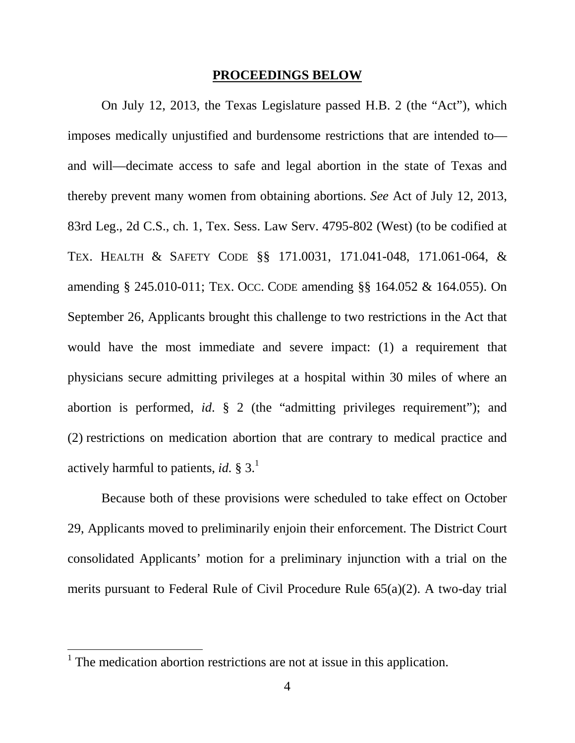#### **PROCEEDINGS BELOW**

On July 12, 2013, the Texas Legislature passed H.B. 2 (the "Act"), which imposes medically unjustified and burdensome restrictions that are intended to and will—decimate access to safe and legal abortion in the state of Texas and thereby prevent many women from obtaining abortions. *See* Act of July 12, 2013, 83rd Leg., 2d C.S., ch. 1, Tex. Sess. Law Serv. 4795-802 (West) (to be codified at TEX. HEALTH & SAFETY CODE §§ 171.0031, 171.041-048, 171.061-064, & amending § 245.010-011; TEX. OCC. CODE amending §§ 164.052 & 164.055). On September 26, Applicants brought this challenge to two restrictions in the Act that would have the most immediate and severe impact: (1) a requirement that physicians secure admitting privileges at a hospital within 30 miles of where an abortion is performed, *id*. § 2 (the "admitting privileges requirement"); and (2) restrictions on medication abortion that are contrary to medical practice and actively harmful to patients, *id.*  $\S 3$ <sup>1</sup>

Because both of these provisions were scheduled to take effect on October 29, Applicants moved to preliminarily enjoin their enforcement. The District Court consolidated Applicants' motion for a preliminary injunction with a trial on the merits pursuant to Federal Rule of Civil Procedure Rule 65(a)(2). A two-day trial

 $<sup>1</sup>$  The medication abortion restrictions are not at issue in this application.</sup>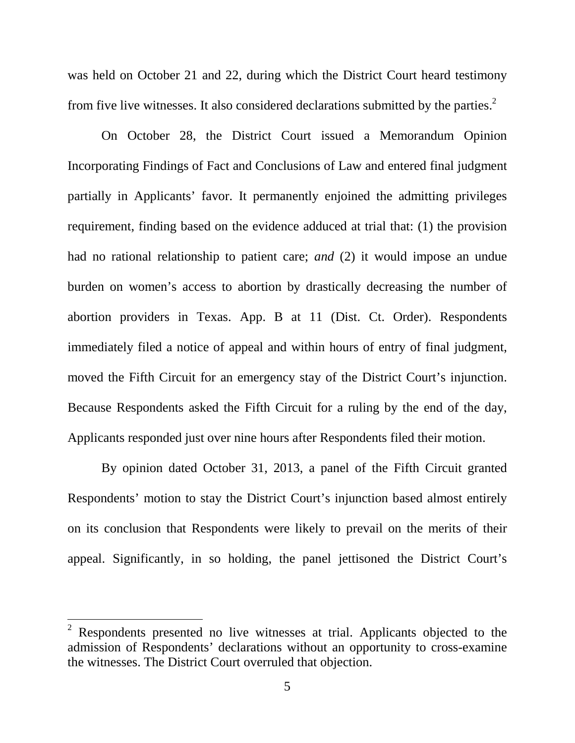was held on October 21 and 22, during which the District Court heard testimony from five live witnesses. It also considered declarations submitted by the parties.<sup>2</sup>

On October 28, the District Court issued a Memorandum Opinion Incorporating Findings of Fact and Conclusions of Law and entered final judgment partially in Applicants' favor. It permanently enjoined the admitting privileges requirement, finding based on the evidence adduced at trial that: (1) the provision had no rational relationship to patient care; *and* (2) it would impose an undue burden on women's access to abortion by drastically decreasing the number of abortion providers in Texas. App. B at 11 (Dist. Ct. Order). Respondents immediately filed a notice of appeal and within hours of entry of final judgment, moved the Fifth Circuit for an emergency stay of the District Court's injunction. Because Respondents asked the Fifth Circuit for a ruling by the end of the day, Applicants responded just over nine hours after Respondents filed their motion.

By opinion dated October 31, 2013, a panel of the Fifth Circuit granted Respondents' motion to stay the District Court's injunction based almost entirely on its conclusion that Respondents were likely to prevail on the merits of their appeal. Significantly, in so holding, the panel jettisoned the District Court's

l

<sup>2</sup> Respondents presented no live witnesses at trial. Applicants objected to the admission of Respondents' declarations without an opportunity to cross-examine the witnesses. The District Court overruled that objection.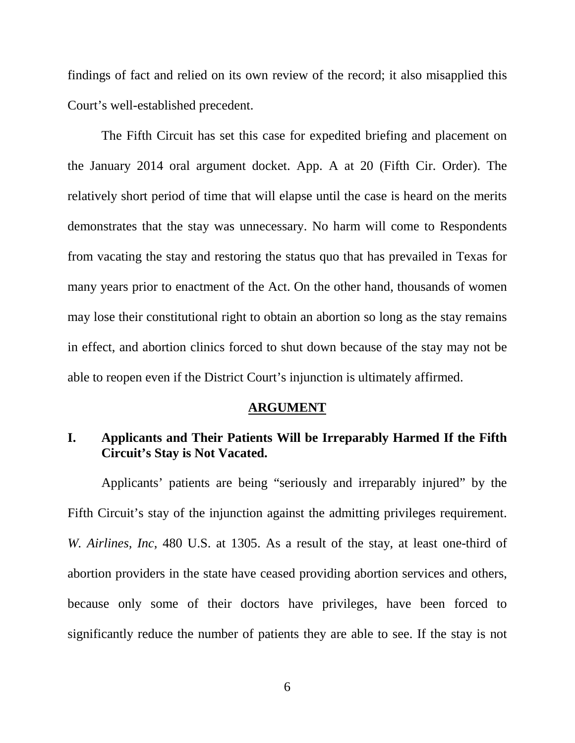findings of fact and relied on its own review of the record; it also misapplied this Court's well-established precedent.

The Fifth Circuit has set this case for expedited briefing and placement on the January 2014 oral argument docket. App. A at 20 (Fifth Cir. Order). The relatively short period of time that will elapse until the case is heard on the merits demonstrates that the stay was unnecessary. No harm will come to Respondents from vacating the stay and restoring the status quo that has prevailed in Texas for many years prior to enactment of the Act. On the other hand, thousands of women may lose their constitutional right to obtain an abortion so long as the stay remains in effect, and abortion clinics forced to shut down because of the stay may not be able to reopen even if the District Court's injunction is ultimately affirmed.

### **ARGUMENT**

## **I. Applicants and Their Patients Will be Irreparably Harmed If the Fifth Circuit's Stay is Not Vacated.**

Applicants' patients are being "seriously and irreparably injured" by the Fifth Circuit's stay of the injunction against the admitting privileges requirement. *W. Airlines, Inc*, 480 U.S. at 1305. As a result of the stay, at least one-third of abortion providers in the state have ceased providing abortion services and others, because only some of their doctors have privileges, have been forced to significantly reduce the number of patients they are able to see. If the stay is not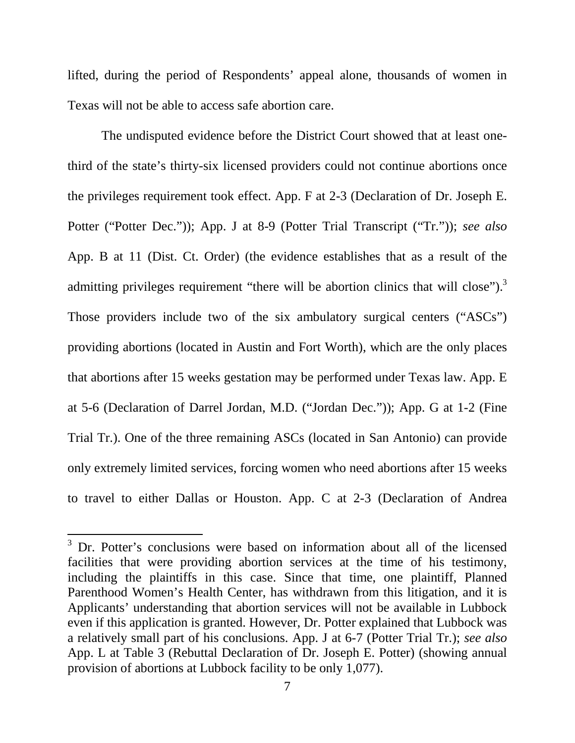lifted, during the period of Respondents' appeal alone, thousands of women in Texas will not be able to access safe abortion care.

The undisputed evidence before the District Court showed that at least onethird of the state's thirty-six licensed providers could not continue abortions once the privileges requirement took effect. App. F at 2-3 (Declaration of Dr. Joseph E. Potter ("Potter Dec.")); App. J at 8-9 (Potter Trial Transcript ("Tr.")); *see also* App. B at 11 (Dist. Ct. Order) (the evidence establishes that as a result of the admitting privileges requirement "there will be abortion clinics that will close").<sup>3</sup> Those providers include two of the six ambulatory surgical centers ("ASCs") providing abortions (located in Austin and Fort Worth), which are the only places that abortions after 15 weeks gestation may be performed under Texas law. App. E at 5-6 (Declaration of Darrel Jordan, M.D. ("Jordan Dec.")); App. G at 1-2 (Fine Trial Tr.). One of the three remaining ASCs (located in San Antonio) can provide only extremely limited services, forcing women who need abortions after 15 weeks to travel to either Dallas or Houston. App. C at 2-3 (Declaration of Andrea

<sup>&</sup>lt;sup>3</sup> Dr. Potter's conclusions were based on information about all of the licensed facilities that were providing abortion services at the time of his testimony, including the plaintiffs in this case. Since that time, one plaintiff, Planned Parenthood Women's Health Center, has withdrawn from this litigation, and it is Applicants' understanding that abortion services will not be available in Lubbock even if this application is granted. However, Dr. Potter explained that Lubbock was a relatively small part of his conclusions. App. J at 6-7 (Potter Trial Tr.); *see also*  App. L at Table 3 (Rebuttal Declaration of Dr. Joseph E. Potter) (showing annual provision of abortions at Lubbock facility to be only 1,077).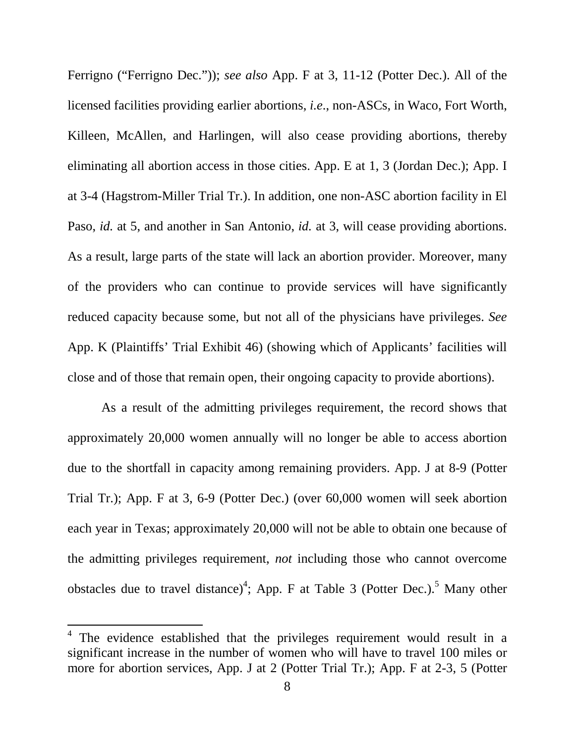Ferrigno ("Ferrigno Dec.")); *see also* App. F at 3, 11-12 (Potter Dec.). All of the licensed facilities providing earlier abortions, *i.e*., non-ASCs, in Waco, Fort Worth, Killeen, McAllen, and Harlingen, will also cease providing abortions, thereby eliminating all abortion access in those cities. App. E at 1, 3 (Jordan Dec.); App. I at 3-4 (Hagstrom-Miller Trial Tr.). In addition, one non-ASC abortion facility in El Paso, *id.* at 5, and another in San Antonio, *id.* at 3, will cease providing abortions. As a result, large parts of the state will lack an abortion provider. Moreover, many of the providers who can continue to provide services will have significantly reduced capacity because some, but not all of the physicians have privileges. *See* App. K (Plaintiffs' Trial Exhibit 46) (showing which of Applicants' facilities will close and of those that remain open, their ongoing capacity to provide abortions).

As a result of the admitting privileges requirement, the record shows that approximately 20,000 women annually will no longer be able to access abortion due to the shortfall in capacity among remaining providers. App. J at 8-9 (Potter Trial Tr.); App. F at 3, 6-9 (Potter Dec.) (over 60,000 women will seek abortion each year in Texas; approximately 20,000 will not be able to obtain one because of the admitting privileges requirement, *not* including those who cannot overcome obstacles due to travel distance)<sup>4</sup>; App. F at Table 3 (Potter Dec.).<sup>5</sup> Many other

l

 $4$  The evidence established that the privileges requirement would result in a significant increase in the number of women who will have to travel 100 miles or more for abortion services, App. J at 2 (Potter Trial Tr.); App. F at 2-3, 5 (Potter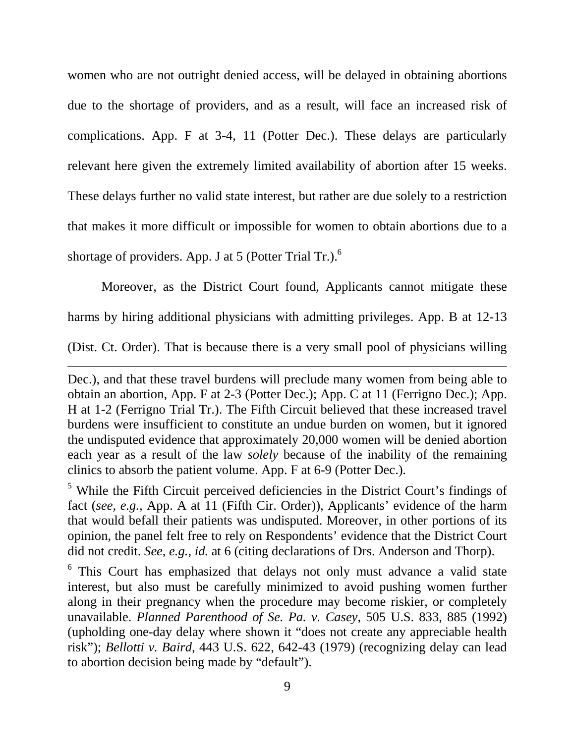women who are not outright denied access, will be delayed in obtaining abortions due to the shortage of providers, and as a result, will face an increased risk of complications. App. F at 3-4, 11 (Potter Dec.). These delays are particularly relevant here given the extremely limited availability of abortion after 15 weeks. These delays further no valid state interest, but rather are due solely to a restriction that makes it more difficult or impossible for women to obtain abortions due to a shortage of providers. App. J at 5 (Potter Trial Tr.). $<sup>6</sup>$ </sup>

Moreover, as the District Court found, Applicants cannot mitigate these harms by hiring additional physicians with admitting privileges. App. B at 12-13

(Dist. Ct. Order). That is because there is a very small pool of physicians willing

l

 $<sup>5</sup>$  While the Fifth Circuit perceived deficiencies in the District Court's findings of</sup> fact (*see, e.g.,* App. A at 11 (Fifth Cir. Order)), Applicants' evidence of the harm that would befall their patients was undisputed. Moreover, in other portions of its opinion, the panel felt free to rely on Respondents' evidence that the District Court did not credit. *See, e.g., id.* at 6 (citing declarations of Drs. Anderson and Thorp).

<sup>6</sup> This Court has emphasized that delays not only must advance a valid state interest, but also must be carefully minimized to avoid pushing women further along in their pregnancy when the procedure may become riskier, or completely unavailable. *Planned Parenthood of Se. Pa. v. Casey*, 505 U.S. 833, 885 (1992) (upholding one-day delay where shown it "does not create any appreciable health risk"); *Bellotti v. Baird,* 443 U.S. 622, 642-43 (1979) (recognizing delay can lead to abortion decision being made by "default").

Dec.), and that these travel burdens will preclude many women from being able to obtain an abortion, App. F at 2-3 (Potter Dec.); App. C at 11 (Ferrigno Dec.); App. H at 1-2 (Ferrigno Trial Tr.). The Fifth Circuit believed that these increased travel burdens were insufficient to constitute an undue burden on women, but it ignored the undisputed evidence that approximately 20,000 women will be denied abortion each year as a result of the law *solely* because of the inability of the remaining clinics to absorb the patient volume. App. F at 6-9 (Potter Dec.).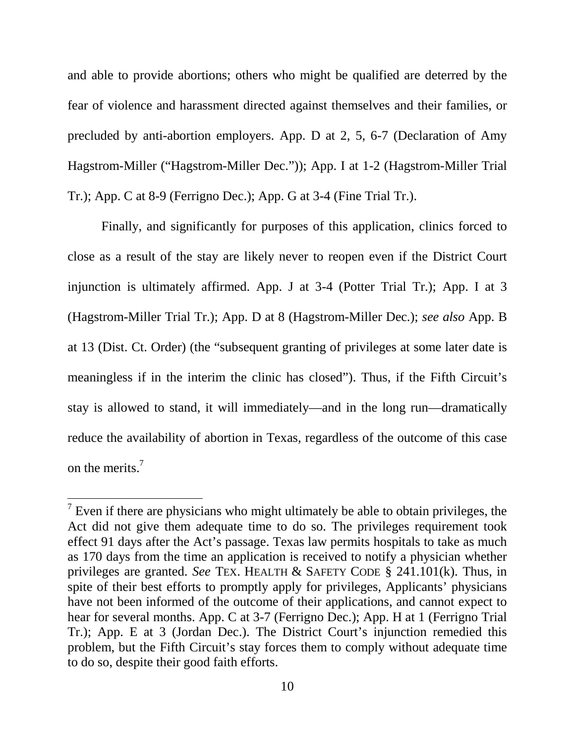and able to provide abortions; others who might be qualified are deterred by the fear of violence and harassment directed against themselves and their families, or precluded by anti-abortion employers. App. D at 2, 5, 6-7 (Declaration of Amy Hagstrom-Miller ("Hagstrom-Miller Dec.")); App. I at 1-2 (Hagstrom-Miller Trial Tr.); App. C at 8-9 (Ferrigno Dec.); App. G at 3-4 (Fine Trial Tr.).

Finally, and significantly for purposes of this application, clinics forced to close as a result of the stay are likely never to reopen even if the District Court injunction is ultimately affirmed. App. J at 3-4 (Potter Trial Tr.); App. I at 3 (Hagstrom-Miller Trial Tr.); App. D at 8 (Hagstrom-Miller Dec.); *see also* App. B at 13 (Dist. Ct. Order) (the "subsequent granting of privileges at some later date is meaningless if in the interim the clinic has closed"). Thus, if the Fifth Circuit's stay is allowed to stand, it will immediately—and in the long run—dramatically reduce the availability of abortion in Texas, regardless of the outcome of this case on the merits.<sup>7</sup>

 $<sup>7</sup>$  Even if there are physicians who might ultimately be able to obtain privileges, the</sup> Act did not give them adequate time to do so. The privileges requirement took effect 91 days after the Act's passage. Texas law permits hospitals to take as much as 170 days from the time an application is received to notify a physician whether privileges are granted. *See* TEX. HEALTH & SAFETY CODE § 241.101(k). Thus, in spite of their best efforts to promptly apply for privileges, Applicants' physicians have not been informed of the outcome of their applications, and cannot expect to hear for several months. App. C at 3-7 (Ferrigno Dec.); App. H at 1 (Ferrigno Trial Tr.); App. E at 3 (Jordan Dec.). The District Court's injunction remedied this problem, but the Fifth Circuit's stay forces them to comply without adequate time to do so, despite their good faith efforts.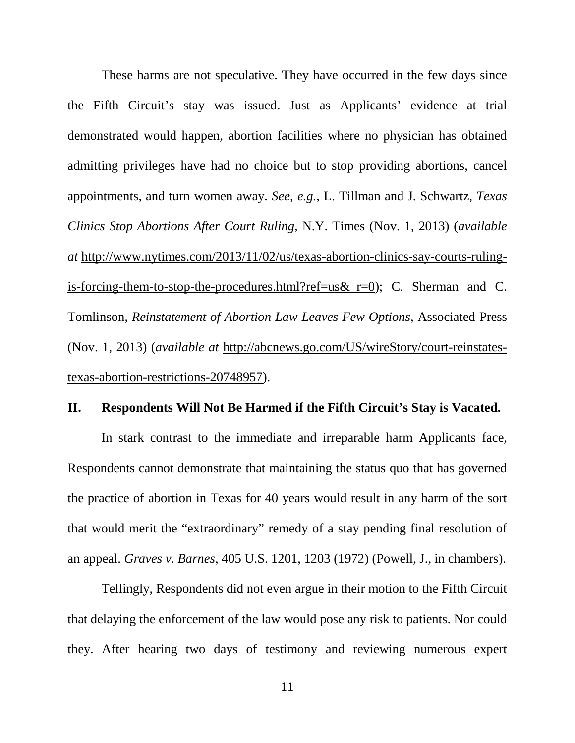These harms are not speculative. They have occurred in the few days since the Fifth Circuit's stay was issued. Just as Applicants' evidence at trial demonstrated would happen, abortion facilities where no physician has obtained admitting privileges have had no choice but to stop providing abortions, cancel appointments, and turn women away. *See, e.g.*, L. Tillman and J. Schwartz, *Texas Clinics Stop Abortions After Court Ruling*, N.Y. Times (Nov. 1, 2013) (*available at* http://www.nytimes.com/2013/11/02/us/texas-abortion-clinics-say-courts-rulingis-forcing-them-to-stop-the-procedures.html?ref=us&\_r=0); C. Sherman and C. Tomlinson, *Reinstatement of Abortion Law Leaves Few Options*, Associated Press (Nov. 1, 2013) (*available at* http://abcnews.go.com/US/wireStory/court-reinstatestexas-abortion-restrictions-20748957).

### **II. Respondents Will Not Be Harmed if the Fifth Circuit's Stay is Vacated.**

In stark contrast to the immediate and irreparable harm Applicants face, Respondents cannot demonstrate that maintaining the status quo that has governed the practice of abortion in Texas for 40 years would result in any harm of the sort that would merit the "extraordinary" remedy of a stay pending final resolution of an appeal. *Graves v. Barnes*, 405 U.S. 1201, 1203 (1972) (Powell, J., in chambers).

Tellingly, Respondents did not even argue in their motion to the Fifth Circuit that delaying the enforcement of the law would pose any risk to patients. Nor could they. After hearing two days of testimony and reviewing numerous expert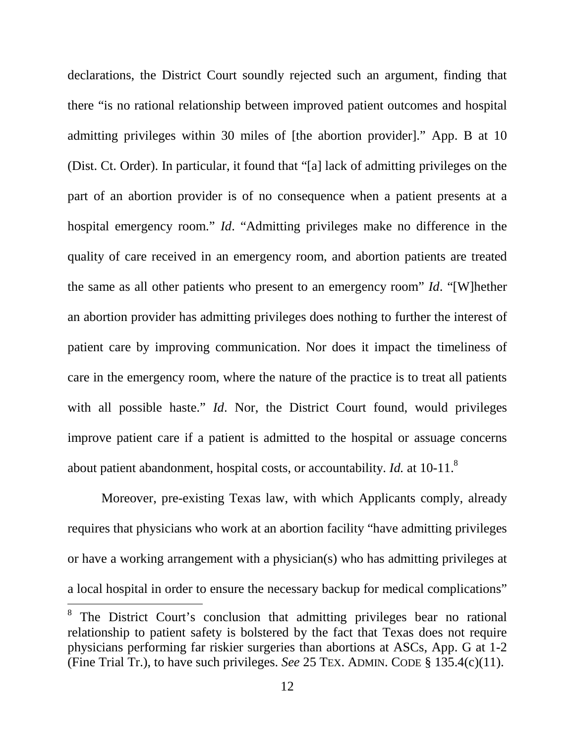declarations, the District Court soundly rejected such an argument, finding that there "is no rational relationship between improved patient outcomes and hospital admitting privileges within 30 miles of [the abortion provider]." App. B at 10 (Dist. Ct. Order). In particular, it found that "[a] lack of admitting privileges on the part of an abortion provider is of no consequence when a patient presents at a hospital emergency room." *Id*. "Admitting privileges make no difference in the quality of care received in an emergency room, and abortion patients are treated the same as all other patients who present to an emergency room" *Id*. "[W]hether an abortion provider has admitting privileges does nothing to further the interest of patient care by improving communication. Nor does it impact the timeliness of care in the emergency room, where the nature of the practice is to treat all patients with all possible haste." *Id*. Nor, the District Court found, would privileges improve patient care if a patient is admitted to the hospital or assuage concerns about patient abandonment, hospital costs, or accountability. *Id.* at 10-11.<sup>8</sup>

Moreover, pre-existing Texas law, with which Applicants comply, already requires that physicians who work at an abortion facility "have admitting privileges or have a working arrangement with a physician(s) who has admitting privileges at a local hospital in order to ensure the necessary backup for medical complications"

<sup>&</sup>lt;sup>8</sup> The District Court's conclusion that admitting privileges bear no rational relationship to patient safety is bolstered by the fact that Texas does not require physicians performing far riskier surgeries than abortions at ASCs, App. G at 1-2 (Fine Trial Tr.), to have such privileges. *See* 25 TEX. ADMIN. CODE § 135.4(c)(11).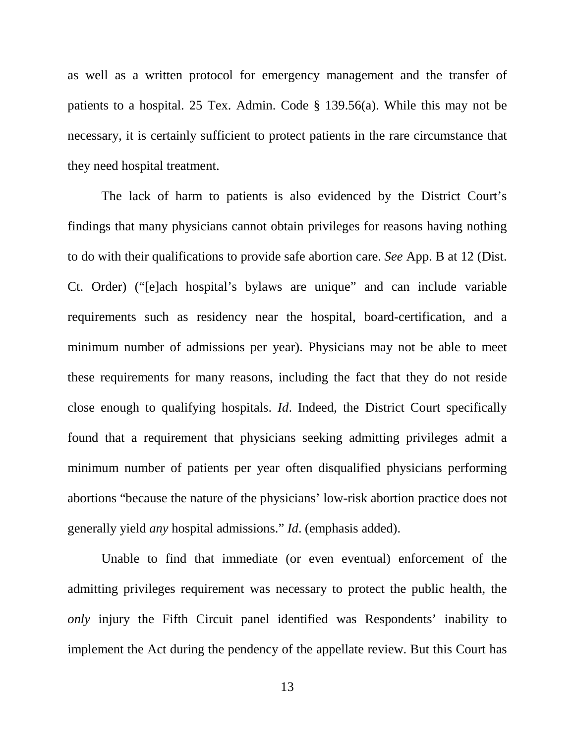as well as a written protocol for emergency management and the transfer of patients to a hospital. 25 Tex. Admin. Code § 139.56(a). While this may not be necessary, it is certainly sufficient to protect patients in the rare circumstance that they need hospital treatment.

The lack of harm to patients is also evidenced by the District Court's findings that many physicians cannot obtain privileges for reasons having nothing to do with their qualifications to provide safe abortion care. *See* App. B at 12 (Dist. Ct. Order) ("[e]ach hospital's bylaws are unique" and can include variable requirements such as residency near the hospital, board-certification, and a minimum number of admissions per year). Physicians may not be able to meet these requirements for many reasons, including the fact that they do not reside close enough to qualifying hospitals. *Id*. Indeed, the District Court specifically found that a requirement that physicians seeking admitting privileges admit a minimum number of patients per year often disqualified physicians performing abortions "because the nature of the physicians' low-risk abortion practice does not generally yield *any* hospital admissions." *Id*. (emphasis added).

Unable to find that immediate (or even eventual) enforcement of the admitting privileges requirement was necessary to protect the public health, the *only* injury the Fifth Circuit panel identified was Respondents' inability to implement the Act during the pendency of the appellate review. But this Court has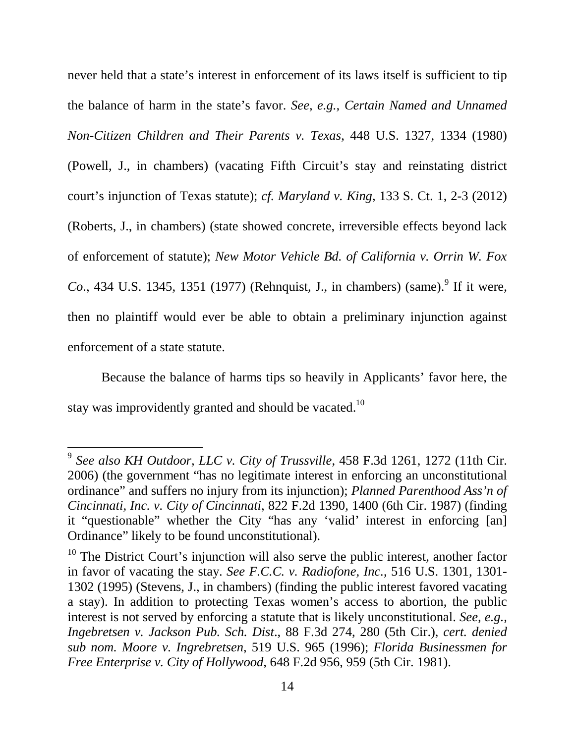never held that a state's interest in enforcement of its laws itself is sufficient to tip the balance of harm in the state's favor. *See, e.g., Certain Named and Unnamed Non-Citizen Children and Their Parents v. Texas*, 448 U.S. 1327, 1334 (1980) (Powell, J., in chambers) (vacating Fifth Circuit's stay and reinstating district court's injunction of Texas statute); *cf. Maryland v. King*, 133 S. Ct. 1, 2-3 (2012) (Roberts, J., in chambers) (state showed concrete, irreversible effects beyond lack of enforcement of statute); *New Motor Vehicle Bd. of California v. Orrin W. Fox Co.*, 434 U.S. 1345, 1351 (1977) (Rehnquist, J., in chambers) (same).<sup>9</sup> If it were, then no plaintiff would ever be able to obtain a preliminary injunction against enforcement of a state statute.

Because the balance of harms tips so heavily in Applicants' favor here, the stay was improvidently granted and should be vacated.<sup>10</sup>

<sup>9</sup> *See also KH Outdoor, LLC v. City of Trussville*, 458 F.3d 1261, 1272 (11th Cir. 2006) (the government "has no legitimate interest in enforcing an unconstitutional ordinance" and suffers no injury from its injunction); *Planned Parenthood Ass'n of Cincinnati, Inc. v. City of Cincinnati*, 822 F.2d 1390, 1400 (6th Cir. 1987) (finding it "questionable" whether the City "has any 'valid' interest in enforcing [an] Ordinance" likely to be found unconstitutional).

 $10$  The District Court's injunction will also serve the public interest, another factor in favor of vacating the stay. *See F.C.C. v. Radiofone, Inc.*, 516 U.S. 1301, 1301- 1302 (1995) (Stevens, J., in chambers) (finding the public interest favored vacating a stay). In addition to protecting Texas women's access to abortion, the public interest is not served by enforcing a statute that is likely unconstitutional. *See, e.g., Ingebretsen v. Jackson Pub. Sch. Dist*., 88 F.3d 274, 280 (5th Cir.), *cert. denied sub nom. Moore v. Ingrebretsen*, 519 U.S. 965 (1996); *Florida Businessmen for Free Enterprise v. City of Hollywood*, 648 F.2d 956, 959 (5th Cir. 1981).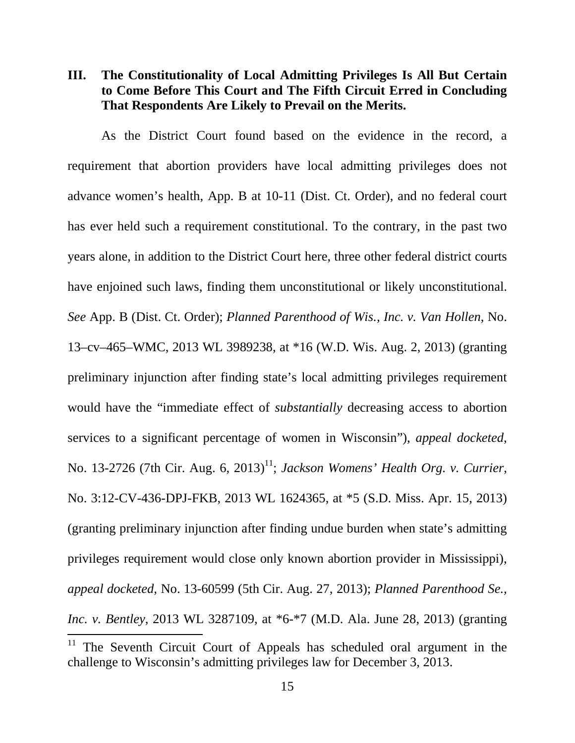**III. The Constitutionality of Local Admitting Privileges Is All But Certain to Come Before This Court and The Fifth Circuit Erred in Concluding That Respondents Are Likely to Prevail on the Merits.** 

As the District Court found based on the evidence in the record, a requirement that abortion providers have local admitting privileges does not advance women's health, App. B at 10-11 (Dist. Ct. Order), and no federal court has ever held such a requirement constitutional. To the contrary, in the past two years alone, in addition to the District Court here, three other federal district courts have enjoined such laws, finding them unconstitutional or likely unconstitutional. *See* App. B (Dist. Ct. Order); *Planned Parenthood of Wis., Inc. v. Van Hollen*, No. 13–cv–465–WMC, 2013 WL 3989238, at \*16 (W.D. Wis. Aug. 2, 2013) (granting preliminary injunction after finding state's local admitting privileges requirement would have the "immediate effect of *substantially* decreasing access to abortion services to a significant percentage of women in Wisconsin"), *appeal docketed*, No. 13-2726 (7th Cir. Aug. 6, 2013) 11 ; *Jackson Womens' Health Org. v. Currier*, No. 3:12-CV-436-DPJ-FKB, 2013 WL 1624365, at \*5 (S.D. Miss. Apr. 15, 2013) (granting preliminary injunction after finding undue burden when state's admitting privileges requirement would close only known abortion provider in Mississippi), *appeal docketed*, No. 13-60599 (5th Cir. Aug. 27, 2013); *Planned Parenthood Se., Inc. v. Bentley*, 2013 WL 3287109, at \*6-\*7 (M.D. Ala. June 28, 2013) (granting l

<sup>&</sup>lt;sup>11</sup> The Seventh Circuit Court of Appeals has scheduled oral argument in the challenge to Wisconsin's admitting privileges law for December 3, 2013.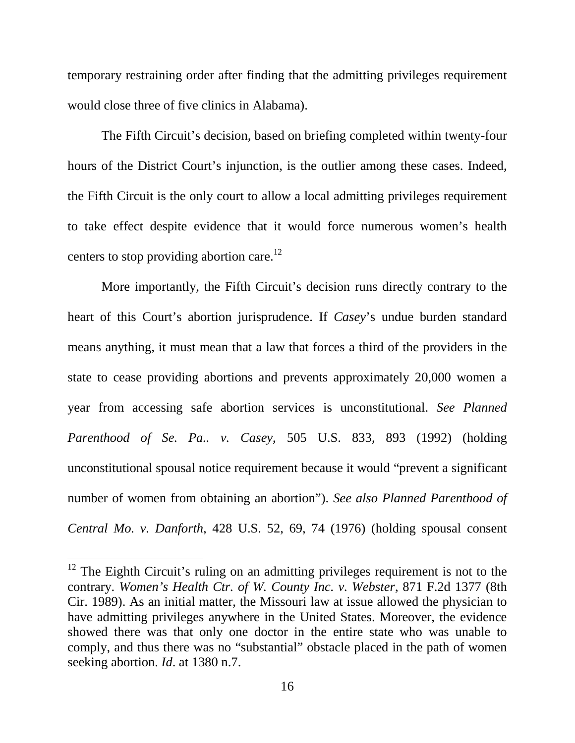temporary restraining order after finding that the admitting privileges requirement would close three of five clinics in Alabama).

The Fifth Circuit's decision, based on briefing completed within twenty-four hours of the District Court's injunction, is the outlier among these cases. Indeed, the Fifth Circuit is the only court to allow a local admitting privileges requirement to take effect despite evidence that it would force numerous women's health centers to stop providing abortion care.<sup>12</sup>

More importantly, the Fifth Circuit's decision runs directly contrary to the heart of this Court's abortion jurisprudence. If *Casey*'s undue burden standard means anything, it must mean that a law that forces a third of the providers in the state to cease providing abortions and prevents approximately 20,000 women a year from accessing safe abortion services is unconstitutional. *See Planned Parenthood of Se. Pa.. v. Casey*, 505 U.S. 833, 893 (1992) (holding unconstitutional spousal notice requirement because it would "prevent a significant number of women from obtaining an abortion"). *See also Planned Parenthood of Central Mo. v. Danforth*, 428 U.S. 52, 69, 74 (1976) (holding spousal consent

l

 $12$  The Eighth Circuit's ruling on an admitting privileges requirement is not to the contrary. *Women's Health Ctr. of W. County Inc. v. Webster*, 871 F.2d 1377 (8th Cir. 1989). As an initial matter, the Missouri law at issue allowed the physician to have admitting privileges anywhere in the United States. Moreover, the evidence showed there was that only one doctor in the entire state who was unable to comply, and thus there was no "substantial" obstacle placed in the path of women seeking abortion. *Id*. at 1380 n.7.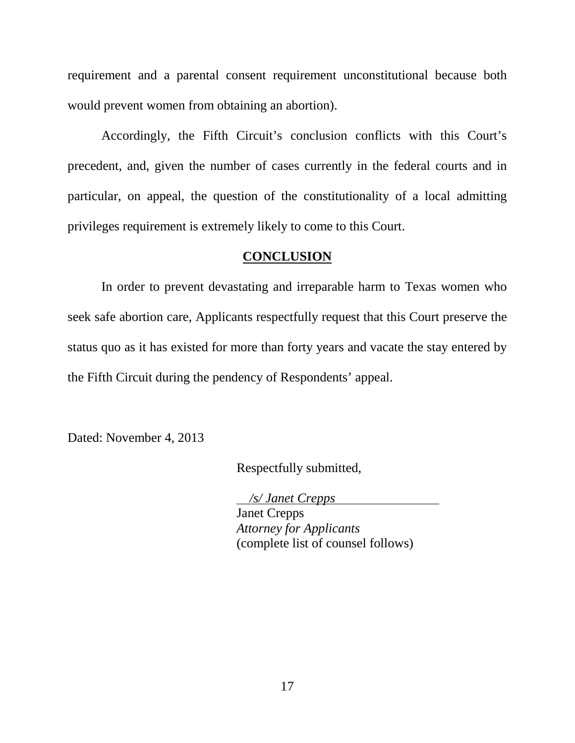requirement and a parental consent requirement unconstitutional because both would prevent women from obtaining an abortion).

Accordingly, the Fifth Circuit's conclusion conflicts with this Court's precedent, and, given the number of cases currently in the federal courts and in particular, on appeal, the question of the constitutionality of a local admitting privileges requirement is extremely likely to come to this Court.

### **CONCLUSION**

In order to prevent devastating and irreparable harm to Texas women who seek safe abortion care, Applicants respectfully request that this Court preserve the status quo as it has existed for more than forty years and vacate the stay entered by the Fifth Circuit during the pendency of Respondents' appeal.

Dated: November 4, 2013

Respectfully submitted,

 */s/ Janet Crepps*

Janet Crepps *Attorney for Applicants*  (complete list of counsel follows)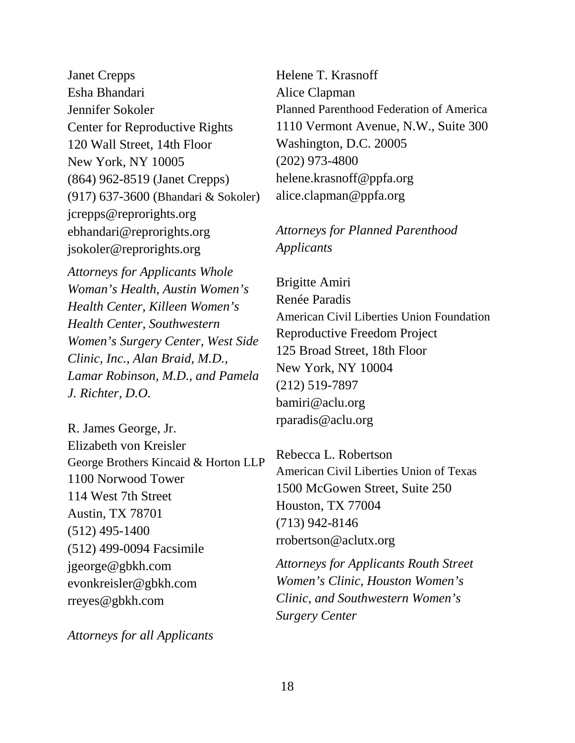Janet Crepps Esha Bhandari Jennifer Sokoler Center for Reproductive Rights 120 Wall Street, 14th Floor New York, NY 10005 (864) 962-8519 (Janet Crepps) (917) 637-3600 (Bhandari & Sokoler) jcrepps@reprorights.org ebhandari@reprorights.org jsokoler@reprorights.org

*Attorneys for Applicants Whole Woman's Health, Austin Women's Health Center, Killeen Women's Health Center, Southwestern Women's Surgery Center, West Side Clinic, Inc., Alan Braid, M.D., Lamar Robinson, M.D., and Pamela J. Richter, D.O.*

R. James George, Jr. Elizabeth von Kreisler George Brothers Kincaid & Horton LLP 1100 Norwood Tower 114 West 7th Street Austin, TX 78701 (512) 495-1400 (512) 499-0094 Facsimile jgeorge@gbkh.com evonkreisler@gbkh.com rreyes@gbkh.com

*Attorneys for all Applicants*

Helene T. Krasnoff Alice Clapman Planned Parenthood Federation of America 1110 Vermont Avenue, N.W., Suite 300 Washington, D.C. 20005 (202) 973-4800 helene.krasnoff@ppfa.org alice.clapman@ppfa.org

# *Attorneys for Planned Parenthood Applicants*

Brigitte Amiri Renée Paradis American Civil Liberties Union Foundation Reproductive Freedom Project 125 Broad Street, 18th Floor New York, NY 10004 (212) 519-7897 bamiri@aclu.org rparadis@aclu.org

Rebecca L. Robertson American Civil Liberties Union of Texas 1500 McGowen Street, Suite 250 Houston, TX 77004 (713) 942-8146 rrobertson@aclutx.org

*Attorneys for Applicants Routh Street Women's Clinic, Houston Women's Clinic, and Southwestern Women's Surgery Center*